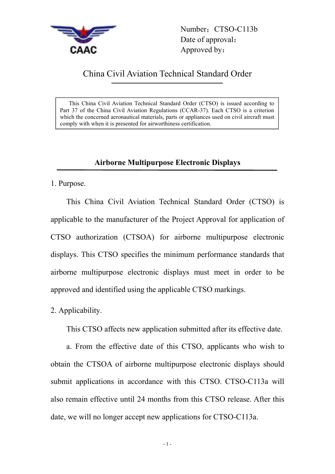

Number: CTSO-C113b Date of approval: Approved by:

## China Civil Aviation Technical Standard Order

This China Civil Aviation Technical Standard Order (CTSO) is issued according to Part 37 of the China Civil Aviation Regulations (CCAR-37). Each CTSO is a criterion which the concerned aeronautical materials, parts or appliances used on civil aircraft must comply with when it is presented for airworthiness certification.

## **Airborne Multipurpose Electronic Displays**

1. Purpose.

This China Civil Aviation Technical Standard Order (CTSO) is applicable to the manufacturer of the Project Approval for application of CTSO authorization (CTSOA) for airborne multipurpose electronic displays. This CTSO specifies the minimum performance standards that airborne multipurpose electronic displays must meet in order to be approved and identified using the applicable CTSO markings.

2. Applicability.

This CTSO affects new application submitted after its effective date.

a. From the effective date of this CTSO, applicants who wish to obtain the CTSOA of airborne multipurpose electronic displays should submit applications in accordance with this CTSO. CTSO-C113a will also remain effective until 24 months from this CTSO release. After this date, we will no longer accept new applications for CTSO-C113a.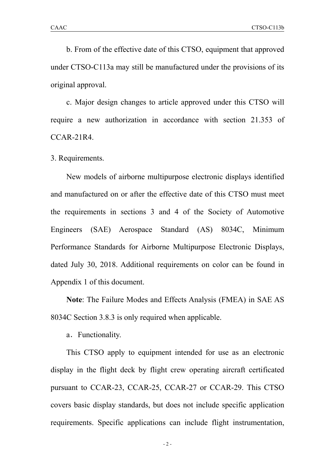b. From of the effective date of this CTSO, equipment that approved under CTSO-C113a may still be manufactured under the provisions of its original approval.

c. Major design changes to article approved under this CTSO will require a new authorization in accordance with section 21.353 of CCAR-21R4.

3. Requirements.

New models of airborne multipurpose electronic displays identified and manufactured on or after the effective date of this CTSO must meet the requirements in sections 3 and 4 of the Society of Automotive Engineers (SAE) Aerospace Standard (AS) 8034C, Minimum Performance Standards for Airborne Multipurpose Electronic Displays, dated July 30, 2018. Additional requirements on color can be found in Appendix 1 of this document.

**Note**: The Failure Modes and Effects Analysis (FMEA) in SAE AS 8034C Section 3.8.3 is only required when applicable.

a.Functionality.

This CTSO apply to equipment intended for use as an electronic display in the flight deck by flight crew operating aircraft certificated pursuant to CCAR-23, CCAR-25, CCAR-27 or CCAR-29. This CTSO covers basic display standards, but does not include specific application requirements. Specific applications can include flight instrumentation,

- 2 -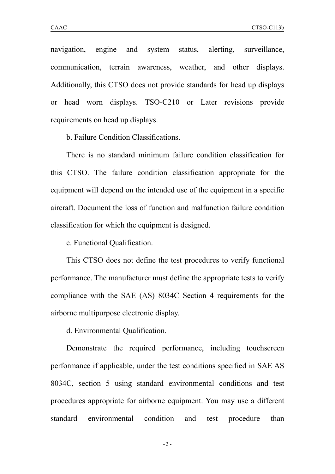navigation, engine and system status, alerting, surveillance, communication, terrain awareness, weather, and other displays. Additionally, this CTSO does not provide standards for head up displays or head worn displays. TSO-C210 or Later revisions provide requirements on head up displays.

b. Failure Condition Classifications.

There is no standard minimum failure condition classification for this CTSO. The failure condition classification appropriate for the equipment will depend on the intended use of the equipment in a specific aircraft. Document the loss of function and malfunction failure condition classification for which the equipment is designed.

c. Functional Qualification.

This CTSO does not define the test procedures to verify functional performance. The manufacturer must define the appropriate tests to verify compliance with the SAE (AS) 8034C Section 4 requirements for the airborne multipurpose electronic display.

d. Environmental Qualification.

Demonstrate the required performance, including touchscreen performance if applicable, under the test conditions specified in SAE AS 8034C, section 5 using standard environmental conditions and test procedures appropriate for airborne equipment. You may use a different standard environmental condition and test procedure than

- 3 -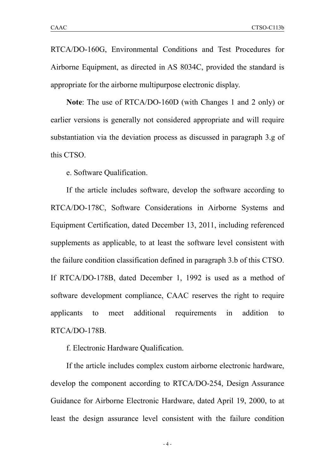RTCA/DO-160G, Environmental Conditions and Test Procedures for Airborne Equipment, as directed in AS 8034C, provided the standard is appropriate for the airborne multipurpose electronic display.

**Note**: The use of RTCA/DO-160D (with Changes 1 and 2 only) or earlier versions is generally not considered appropriate and will require substantiation via the deviation process as discussed in paragraph 3.g of this CTSO.

e. Software Qualification.

If the article includes software, develop the software according to RTCA/DO-178C, Software Considerations in Airborne Systems and Equipment Certification, dated December 13,2011, including referenced supplements as applicable, to at least the software level consistent with the failure condition classification defined in paragraph 3.b of this CTSO. If RTCA/DO-178B, dated December 1, 1992 is used as a method of software development compliance, CAAC reserves the right to require applicants to meet additional requirements in addition to RTCA/DO-178B.

f. Electronic Hardware Qualification.

If the article includes complex custom airborne electronic hardware, develop the component according to RTCA/DO-254, Design Assurance Guidance for Airborne Electronic Hardware, dated April 19, 2000, to at least the design assurance level consistent with the failure condition

- 4 -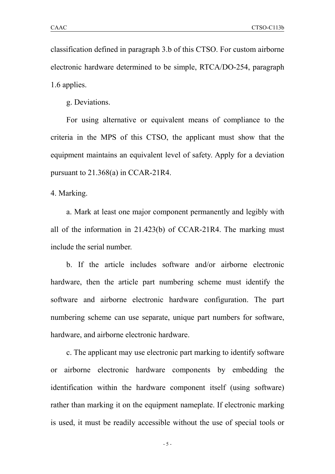classification defined in paragraph 3.b of this CTSO. For custom airborne electronic hardware determined to be simple, RTCA/DO-254, paragraph 1.6 applies.

g. Deviations.

For using alternative or equivalent means of compliance to the criteria in the MPS of this CTSO, the applicant must show that the equipment maintains an equivalent level of safety. Apply for a deviation pursuant to 21.368(a) in CCAR-21R4.

4. Marking.

a. Mark at least one major component permanently and legibly with all of the information in 21.423(b) of CCAR-21R4. The marking must include the serial number.

b. If the article includes software and/or airborne electronic hardware, then the article part numbering scheme must identify the software and airborne electronic hardware configuration. The part numbering scheme can use separate, unique part numbers for software, hardware, and airborne electronic hardware.

c. The applicant may use electronic part marking to identify software or airborne electronic hardware components by embedding the identification within the hardware component itself (using software) rather than marking it on the equipment nameplate. If electronic marking is used, it must be readily accessible without the use of special tools or

- 5 -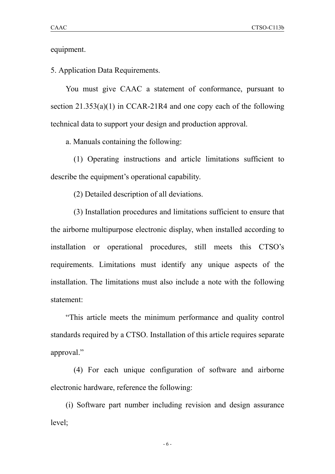equipment.

5. Application Data Requirements.

You must give CAAC a statement of conformance, pursuant to section 21.353(a)(1) in CCAR-21R4 and one copy each of the following technical data to support your design and production approval.

a. Manuals containing the following:

(1) Operating instructions and article limitations sufficient to describe the equipment's operational capability.

(2) Detailed description of all deviations.

(3) Installation procedures and limitations sufficient to ensure that the airborne multipurpose electronic display, when installed according to installation or operational procedures, still meets this CTSO's requirements. Limitations must identify any unique aspects of the installation. The limitations must also include a note with the following statement:

"This article meets the minimum performance and quality control standards required by a CTSO. Installation of this article requires separate approval."

(4) For each unique configuration of software and airborne electronic hardware, reference the following:

(i) Software part number including revision and design assurance level;

- 6 -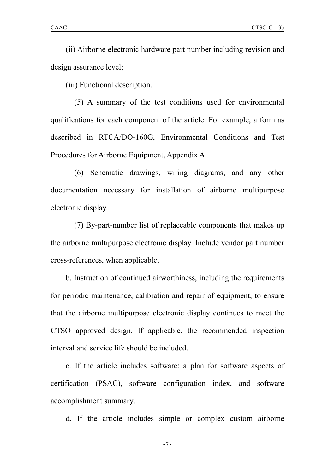(ii) Airborne electronic hardware part number including revision and design assurance level;

(iii) Functional description.

(5) A summary of the test conditions used for environmental qualifications for each component of the article. For example, a form as described in RTCA/DO-160G, Environmental Conditions and Test Procedures for Airborne Equipment, Appendix A.

(6) Schematic drawings, wiring diagrams, and any other documentation necessary for installation of airborne multipurpose electronic display.

(7) By-part-number list of replaceable components that makes up the airborne multipurpose electronic display. Include vendor part number cross-references, when applicable.

b. Instruction of continued airworthiness, including the requirements for periodic maintenance, calibration and repair of equipment, to ensure that the airborne multipurpose electronic display continues to meet the CTSO approved design. If applicable, the recommended inspection interval and service life should be included.

c. If the article includes software: a plan for software aspects of certification (PSAC), software configuration index, and software accomplishment summary.

d. If the article includes simple or complex custom airborne

- 7 -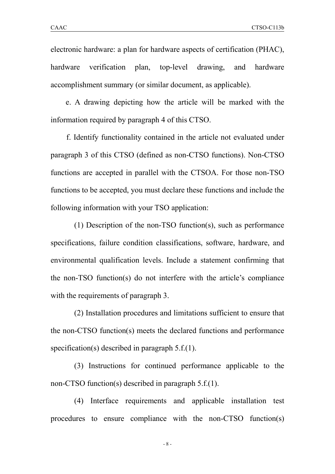electronic hardware: a plan for hardware aspects of certification (PHAC), hardware verification plan, top-level drawing, and hardware accomplishment summary (or similar document, as applicable).

e. A drawing depicting how the article will be marked with the information required by paragraph 4 of this CTSO.

f. Identify functionality contained in the article not evaluated under paragraph 3 of this CTSO (defined as non-CTSO functions). Non-CTSO functions are accepted in parallel with the CTSOA. For those non-TSO functions to be accepted, you must declare these functions and include the following information with your TSO application:

(1) Description of the non-TSO function(s), such as performance specifications, failure condition classifications, software, hardware, and environmental qualification levels. Include a statement confirming that the non-TSO function(s) do not interfere with the article's compliance with the requirements of paragraph 3.

(2) Installation procedures and limitations sufficient to ensure that the non-CTSO function(s) meets the declared functions and performance specification(s) described in paragraph 5.f.(1).

(3) Instructions for continued performance applicable to the non-CTSO function(s) described in paragraph 5.f.(1).

(4) Interface requirements and applicable installation test procedures to ensure compliance with the non-CTSO function(s)

- 8 -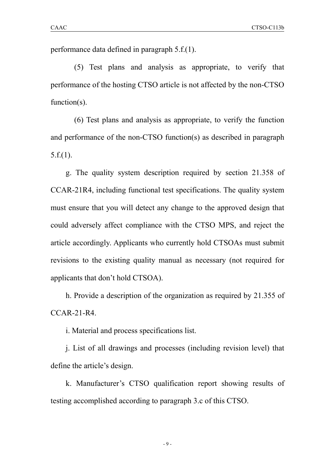performance data defined in paragraph 5.f.(1).

(5) Test plans and analysis as appropriate, to verify that performance of the hosting CTSO article is not affected by the non-CTSO function(s).

(6) Test plans and analysis as appropriate, to verify the function and performance of the non-CTSO function(s) as described in paragraph 5.f.(1).

g. The quality system description required by section 21.358 of CCAR-21R4, including functional test specifications. The quality system must ensure that you will detect any change to the approved design that could adversely affect compliance with the CTSO MPS, and reject the article accordingly. Applicants who currently hold CTSOAs must submit revisions to the existing quality manual as necessary (not required for applicants that don't hold CTSOA).

h. Provide a description of the organization as required by 21.355 of CCAR-21-R4.

i. Material and process specifications list.

j. List of all drawings and processes (including revision level) that define the article's design.

k. Manufacturer's CTSO qualification report showing results of testing accomplished according to paragraph 3.c of this CTSO.

- 9 -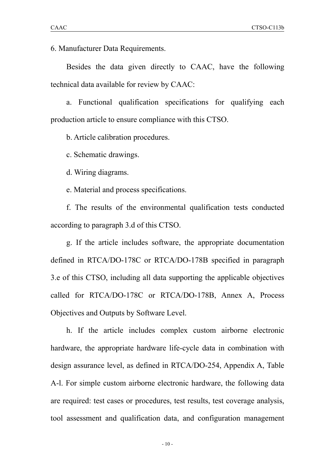6. Manufacturer Data Requirements.

Besides the data given directly to CAAC, have the following technical data available for review by CAAC:

a. Functional qualification specifications for qualifying each production article to ensure compliance with this CTSO.<br>b. Article calibration procedures.

c. Schematic drawings.

d. Wiring diagrams.

e. Material and process specifications.

f. The results of the environmental qualification tests conducted according to paragraph 3.d of this CTSO.

g. If the article includes software, the appropriate documentation defined in RTCA/DO-178C or RTCA/DO-178B specified in paragraph 3.e of this CTSO, including all data supporting the applicable objectives called for RTCA/DO-178C or RTCA/DO-178B, Annex A, Process Objectives and Outputs by Software Level.

h. If the article includes complex custom airborne electronic hardware, the appropriate hardware life-cycle data in combination with design assurance level, as defined in RTCA/DO-254, Appendix A, Table A-l. For simple custom airborne electronic hardware, the following data are required: test cases or procedures, test results, test coverage analysis, tool assessment and qualification data, and configuration management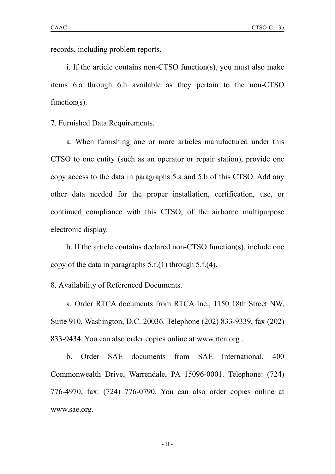records, including problem reports.

i. If the article contains non-CTSO function(s), you must also make items 6.a through 6.h available as they pertain to the non-CTSO function(s).

7. Furnished Data Requirements.

a. When furnishing one or more articles manufactured under this CTSO to one entity (such as an operator or repair station), provide one copy access to the data in paragraphs 5.a and 5.b of this CTSO. Add any other data needed for the proper installation, certification, use, or continued compliance with this CTSO, of the airborne multipurpose electronic display.

b. If the article contains declared non-CTSO function(s), include one copy of the data in paragraphs  $5.f.(1)$  through  $5.f.(4)$ .

8. Availability of Referenced Documents.

a. Order RTCA documents from RTCA Inc., 1150 18th Street NW, Suite 910, Washington, D.C. 20036. Telephone (202) 833-9339, fax (202) 833-9434. You can also order copies online at www.rtca.org .

b. Order SAE documents from SAE International, 400 Commonwealth Drive, Warrendale, PA 15096-0001. Telephone: (724) 776-4970, fax: (724) 776-0790. You can also order copies online at www.sae.org.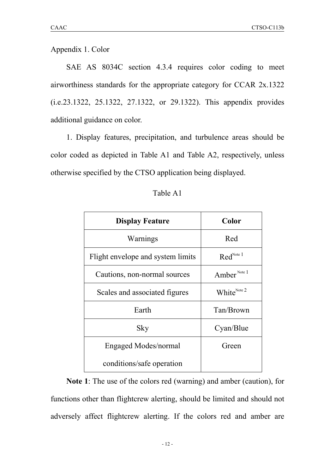Appendix 1. Color

SAE AS 8034C section 4.3.4 requires color coding to meet airworthiness standards for the appropriate category for CCAR 2x.1322 (i.e.23.1322, 25.1322, 27.1322, or 29.1322). This appendix provides additional guidance on color.

1. Display features, precipitation, and turbulence areas should be color coded as depicted in Table A1 and Table A2, respectively, unless otherwise specified by the CTSO application being displayed.

| <b>Display Feature</b>            | Color                        |
|-----------------------------------|------------------------------|
| Warnings                          | Red                          |
| Flight envelope and system limits | $\text{Red}^{\text{Note }1}$ |
| Cautions, non-normal sources      | Amber <sup>Note 1</sup>      |
| Scales and associated figures     | White <sup>Note 2</sup>      |
| Earth                             | Tan/Brown                    |
| Sky                               | Cyan/Blue                    |
| Engaged Modes/normal              | Green                        |
| conditions/safe operation         |                              |

## Table A1

**Note 1**: The use of the colors red (warning) and amber (caution), for functions other than flightcrew alerting, should be limited and should not adversely affect flightcrew alerting. If the colors red and amber are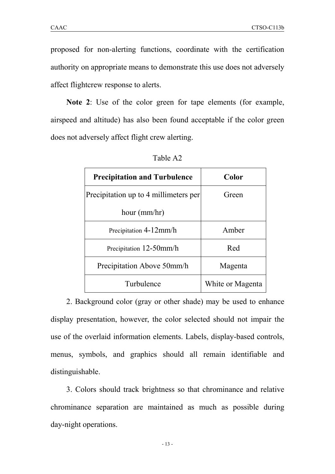proposed for non-alerting functions, coordinate with the certification authority on appropriate means to demonstrate this use does not adversely affect flightcrew response to alerts.

**Note 2**: Use of the color green for tape elements (for example, airspeed and altitude) has also been found acceptable if the color green does not adversely affect flight crew alerting.

| <b>Precipitation and Turbulence</b>   | Color            |
|---------------------------------------|------------------|
| Precipitation up to 4 millimeters per | Green            |
| hour $(mm/hr)$                        |                  |
| Precipitation 4-12mm/h                | Amber            |
| Precipitation 12-50mm/h               | Red              |
| Precipitation Above 50mm/h            | Magenta          |
| Turbulence                            | White or Magenta |

Table A2

2. Background color (gray or other shade) may be used to enhance display presentation, however, the color selected should not impair the use of the overlaid information elements. Labels, display-based controls, menus, symbols, and graphics should all remain identifiable and distinguishable.

3. Colors should track brightness so that chrominance and relative chrominance separation are maintained as much as possible during day-night operations.